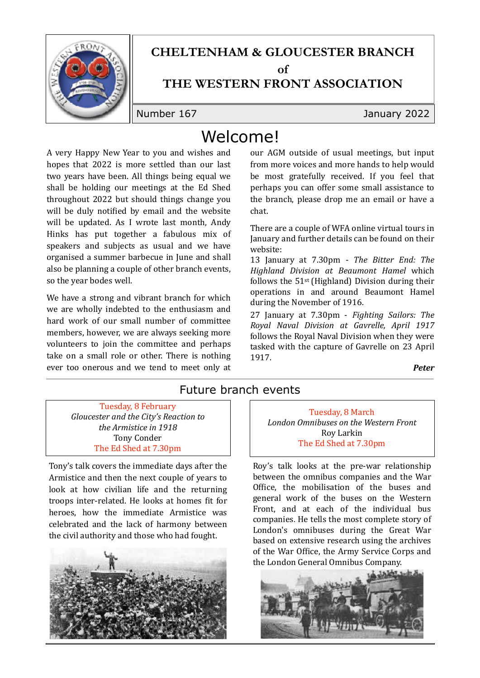

# **CHELTENHAM & GLOUCESTER BRANCH**

 $\alpha$ **f** 

#### **THE WESTERN FRONT ASSOCIATION**

Number 167 January 2022

## Welcome!

A very Happy New Year to you and wishes and hopes that 2022 is more settled than our last two years have been. All things being equal we shall be holding our meetings at the Ed Shed throughout 2022 but should things change you will be duly notified by email and the website will be updated. As I wrote last month, Andy Hinks has put together a fabulous mix of speakers and subjects as usual and we have organised a summer barbecue in June and shall also be planning a couple of other branch events, so the year bodes well.

We have a strong and vibrant branch for which we are wholly indebted to the enthusiasm and hard work of our small number of committee members, however, we are always seeking more volunteers to join the committee and perhaps take on a small role or other. There is nothing ever too onerous and we tend to meet only at our AGM outside of usual meetings, but input from more voices and more hands to help would be most gratefully received. If you feel that perhaps you can offer some small assistance to the branch, please drop me an email or have a chat.

There are a couple of WFA online virtual tours in January and further details can be found on their website:

13 January at 7.30pm - *The Bitter End: The Highland Division at Beaumont Hamel* which follows the  $51$ <sup>st</sup> (Highland) Division during their operations in and around Beaumont Hamel during the November of 1916.

27 January at 7.30pm - *Fighting Sailors: The Royal Naval Division at Gavrelle, April 1917* follows the Royal Naval Division when they were tasked with the capture of Gavrelle on 23 April 1917. 

*Peter*

#### Future branch events

Tuesday, 8 February Gloucester and the City's Reaction to *the Armistice in 1918* Tony Conder The Ed Shed at 7.30pm

Tony's talk covers the immediate days after the Armistice and then the next couple of years to look at how civilian life and the returning troops inter-related. He looks at homes fit for heroes, how the immediate Armistice was celebrated and the lack of harmony between the civil authority and those who had fought.



Tuesday, 8 March *London Omnibuses on the Western Front* Roy Larkin The Ed Shed at 7.30pm

Roy's talk looks at the pre-war relationship between the omnibus companies and the War Office, the mobilisation of the buses and general work of the buses on the Western Front, and at each of the individual bus companies. He tells the most complete story of London's omnibuses during the Great War based on extensive research using the archives of the War Office, the Army Service Corps and the London General Omnibus Company.